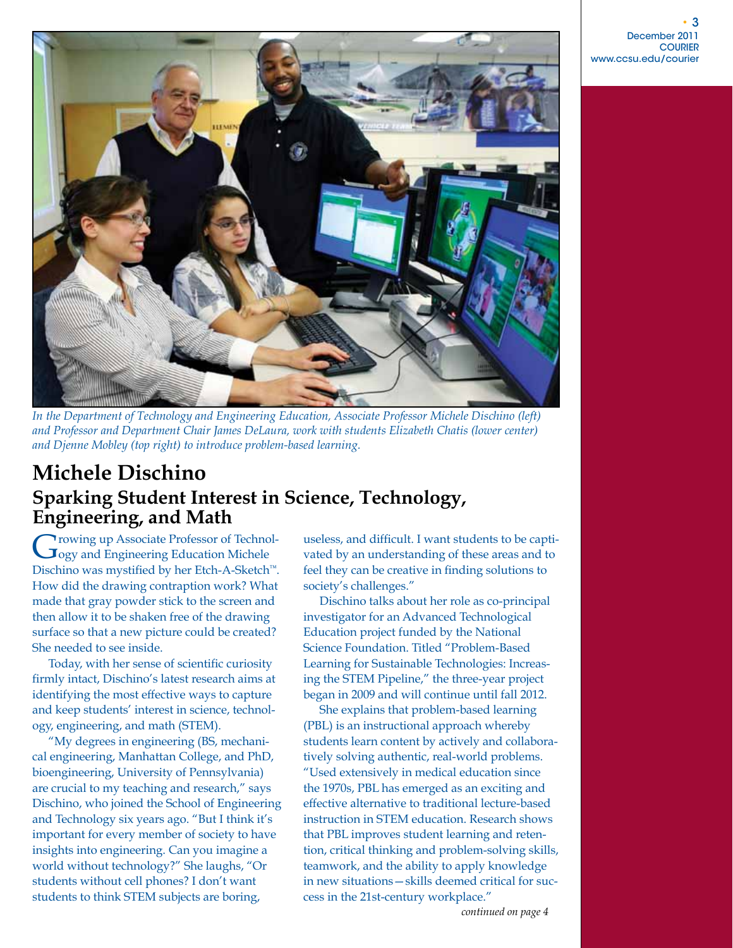

*In the Department of Technology and Engineering Education, Associate Professor Michele Dischino (left) and Professor and Department Chair James DeLaura, work with students Elizabeth Chatis (lower center) and Djenne Mobley (top right) to introduce problem-based learning.*

## **Michele Dischino Sparking Student Interest in Science, Technology, Engineering, and Math**

**Trowing up Associate Professor of Technol-Jogy and Engineering Education Michele** Dischino was mystified by her Etch-A-Sketch™. How did the drawing contraption work? What made that gray powder stick to the screen and then allow it to be shaken free of the drawing surface so that a new picture could be created? She needed to see inside.

Today, with her sense of scientific curiosity firmly intact, Dischino's latest research aims at identifying the most effective ways to capture and keep students' interest in science, technology, engineering, and math (STEM).

"My degrees in engineering (BS, mechanical engineering, Manhattan College, and PhD, bioengineering, University of Pennsylvania) are crucial to my teaching and research," says Dischino, who joined the School of Engineering and Technology six years ago. "But I think it's important for every member of society to have insights into engineering. Can you imagine a world without technology?" She laughs, "Or students without cell phones? I don't want students to think STEM subjects are boring,

useless, and difficult. I want students to be captivated by an understanding of these areas and to feel they can be creative in finding solutions to society's challenges."

Dischino talks about her role as co-principal investigator for an Advanced Technological Education project funded by the National Science Foundation. Titled "Problem-Based Learning for Sustainable Technologies: Increasing the STEM Pipeline," the three-year project began in 2009 and will continue until fall 2012.

She explains that problem-based learning (PBL) is an instructional approach whereby students learn content by actively and collaboratively solving authentic, real-world problems. "Used extensively in medical education since the 1970s, PBL has emerged as an exciting and effective alternative to traditional lecture-based instruction in STEM education. Research shows that PBL improves student learning and retention, critical thinking and problem-solving skills, teamwork, and the ability to apply knowledge in new situations—skills deemed critical for success in the 21st-century workplace."